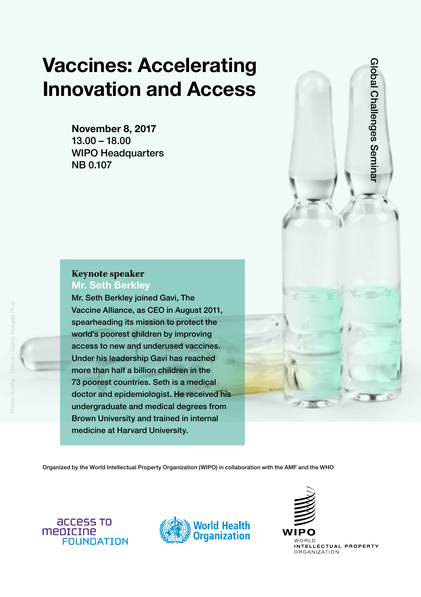# Vaccines: Accelerating Innovation and Access

November 8, 2017 13.00 – 18.00 WIPO Headquarters NB 0.107

## **Keynote speaker** Mr. Seth Berkley

Mr. Seth Berkley joined Gavi, The Vaccine Alliance, as CEO in August 2011, spearheading its mission to protect the world's poorest children by improving access to new and underused vaccines. Under his leadership Gavi has reached more than half a billion children in the 73 poorest countries. Seth is a medical doctor and epidemiologist. He received his undergraduate and medical degrees from Brown University and trained in internal medicine at Harvard University.

Global Challenges Semina Global Challenges Seminar

Organized by the World Intellectual Property Organization (WIPO) in collaboration with the AMF and the WHO